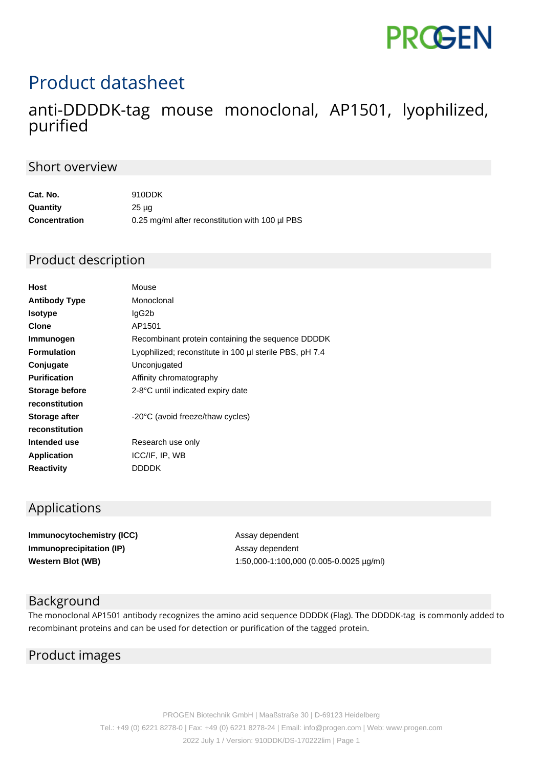# **PROGEN**

## Product datasheet

### anti-DDDDK-tag mouse monoclonal, AP1501, lyophilized, purified

#### Short overview

| Cat. No.             | 910DDK                                          |
|----------------------|-------------------------------------------------|
| Quantity             | $25 \mu q$                                      |
| <b>Concentration</b> | 0.25 mg/ml after reconstitution with 100 µl PBS |

#### Product description

| Host                  | Mouse                                                   |
|-----------------------|---------------------------------------------------------|
| <b>Antibody Type</b>  | Monoclonal                                              |
| <b>Isotype</b>        | lgG2b                                                   |
| <b>Clone</b>          | AP1501                                                  |
| Immunogen             | Recombinant protein containing the sequence DDDDK       |
| <b>Formulation</b>    | Lyophilized; reconstitute in 100 µl sterile PBS, pH 7.4 |
| Conjugate             | Unconjugated                                            |
| <b>Purification</b>   | Affinity chromatography                                 |
| <b>Storage before</b> | 2-8°C until indicated expiry date                       |
| reconstitution        |                                                         |
| Storage after         | -20°C (avoid freeze/thaw cycles)                        |
| reconstitution        |                                                         |
| Intended use          | Research use only                                       |
| <b>Application</b>    | ICC/IF, IP, WB                                          |
| <b>Reactivity</b>     | DDDDK                                                   |
|                       |                                                         |

#### Applications

**Immunocytochemistry (ICC)** Assay dependent **Immunoprecipitation (IP)** Assay dependent

**Western Blot (WB)** 1:50,000-1:100,000 (0.005-0.0025 µg/ml)

#### Background

The monoclonal AP1501 antibody recognizes the amino acid sequence DDDDK (Flag). The DDDDK-tag is commonly added to recombinant proteins and can be used for detection or purification of the tagged protein.

#### Product images